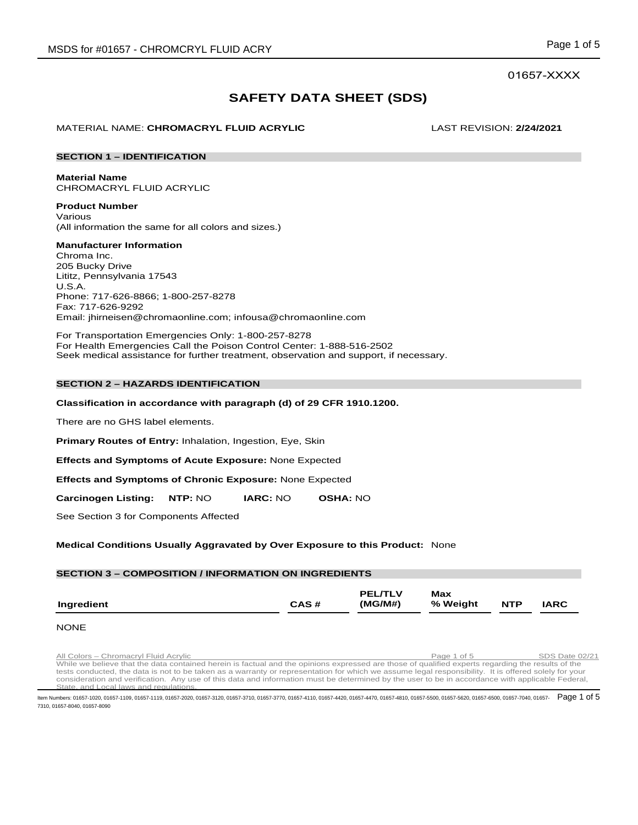# 01657-XXXX

# **SAFETY DATA SHEET (SDS)**

MATERIAL NAME: **CHROMACRYL FLUID ACRYLIC** LAST REVISION: **2/24/2021**

# **SECTION 1 – IDENTIFICATION**

**Material Name**

CHROMACRYL FLUID ACRYLIC

**Product Number** Various (All information the same for all colors and sizes.)

# **Manufacturer Information**

Chroma Inc. 205 Bucky Drive Lititz, Pennsylvania 17543 U.S.A. Phone: 717-626-8866; 1-800-257-8278 Fax: 717-626-9292 Email: jhirneisen@chromaonline.com; infousa@chromaonline.com

For Transportation Emergencies Only: 1-800-257-8278 For Health Emergencies Call the Poison Control Center: 1-888-516-2502 Seek medical assistance for further treatment, observation and support, if necessary.

# **SECTION 2 – HAZARDS IDENTIFICATION**

# **Classification in accordance with paragraph (d) of 29 CFR 1910.1200.**

There are no GHS label elements.

**Primary Routes of Entry:** Inhalation, Ingestion, Eye, Skin

**Effects and Symptoms of Acute Exposure:** None Expected

**Effects and Symptoms of Chronic Exposure:** None Expected

**Carcinogen Listing: NTP:** NO **IARC:** NO **OSHA:** NO

See Section 3 for Components Affected

# **Medical Conditions Usually Aggravated by Over Exposure to this Product:** None

# **SECTION 3 – COMPOSITION / INFORMATION ON INGREDIENTS**

|            |      | <b>PEL/TLV</b> | Max      |            |             |
|------------|------|----------------|----------|------------|-------------|
| Ingredient | CAS# | (MG/M#)        | % Weight | <b>NTP</b> | <b>IARC</b> |

### NONE

Run Colors – Chromacryl Fluid Acrylic **Page 1 of 5** SDS Date 02/21 SUS Date 02/21 Colors – Chromacryl Fluid Acrylic<br>While we believe that the data contained herein is factual and the opinions expressed are those of qualifi tests conducted, the data is not to be taken as a warranty or representation for which we assume legal responsibility. It is offered solely for your consideration and verification. Any use of this data and information must be determined by the user to be in accordance with applicable Federal, State, and Local laws and regulations.

ltem Numbers: 01657-1020, 01657-1109, 01657-1119, 01657-2020, 01657-3120, 01657-3710, 01657-3770, 01657-4410, 01657-4420, 01657-4470, 01657-4810, 01657-5500, 01657-5620, 01657-5600, 01657-7040, 01657-  ${\sf Page~1~of~5}$ 7310, 01657-8040, 01657-8090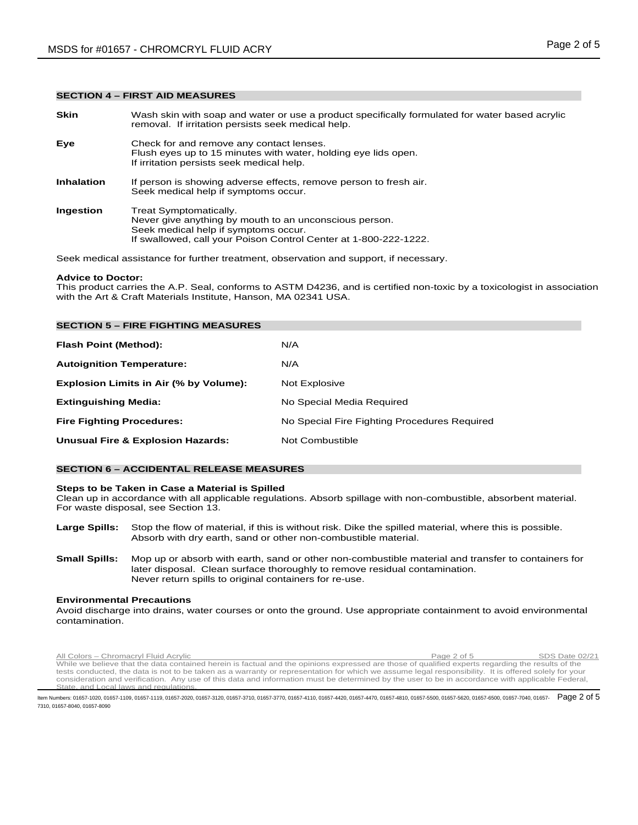### **SECTION 4 – FIRST AID MEASURES**

| <b>Skin</b>       | Wash skin with soap and water or use a product specifically formulated for water based acrylic<br>removal. If irritation persists seek medical help.                                         |
|-------------------|----------------------------------------------------------------------------------------------------------------------------------------------------------------------------------------------|
| Eye               | Check for and remove any contact lenses.<br>Flush eyes up to 15 minutes with water, holding eye lids open.<br>If irritation persists seek medical help.                                      |
| <b>Inhalation</b> | If person is showing adverse effects, remove person to fresh air.<br>Seek medical help if symptoms occur.                                                                                    |
| Ingestion         | Treat Symptomatically.<br>Never give anything by mouth to an unconscious person.<br>Seek medical help if symptoms occur.<br>If swallowed, call your Poison Control Center at 1-800-222-1222. |
|                   |                                                                                                                                                                                              |

Seek medical assistance for further treatment, observation and support, if necessary.

#### **Advice to Doctor:**

This product carries the A.P. Seal, conforms to ASTM D4236, and is certified non-toxic by a toxicologist in association with the Art & Craft Materials Institute, Hanson, MA 02341 USA.

| <b>SECTION 5 - FIRE FIGHTING MEASURES</b>    |                                              |  |  |  |
|----------------------------------------------|----------------------------------------------|--|--|--|
| Flash Point (Method):                        | N/A                                          |  |  |  |
| <b>Autoignition Temperature:</b>             | N/A                                          |  |  |  |
| Explosion Limits in Air (% by Volume):       | Not Explosive                                |  |  |  |
| <b>Extinguishing Media:</b>                  | No Special Media Required                    |  |  |  |
| <b>Fire Fighting Procedures:</b>             | No Special Fire Fighting Procedures Required |  |  |  |
| <b>Unusual Fire &amp; Explosion Hazards:</b> | Not Combustible                              |  |  |  |

# **SECTION 6 – ACCIDENTAL RELEASE MEASURES**

#### **Steps to be Taken in Case a Material is Spilled**

Clean up in accordance with all applicable regulations. Absorb spillage with non-combustible, absorbent material. For waste disposal, see Section 13.

- **Large Spills:** Stop the flow of material, if this is without risk. Dike the spilled material, where this is possible. Absorb with dry earth, sand or other non-combustible material.
- **Small Spills:** Mop up or absorb with earth, sand or other non-combustible material and transfer to containers for later disposal. Clean surface thoroughly to remove residual contamination. Never return spills to original containers for re-use.

#### **Environmental Precautions**

Avoid discharge into drains, water courses or onto the ground. Use appropriate containment to avoid environmental contamination.

Rum Colors – Chromacryl Fluid Acrylic Page 2 of 5 SDS Date 02/21<br>While we believe that the data contained herein is factual and the opinions expressed are those of qualified experts regarding the results of the tests conducted, the data is not to be taken as a warranty or representation for which we assume legal responsibility. It is offered solely for your consideration and verification. Any use of this data and information must be determined by the user to be in accordance with applicable Federal, State, and Local laws and regulations.

ltem Numbers: 01657-1020, 01657-1109, 01657-1119, 01657-2020, 01657-3120, 01657-3710, 01657-3770, 01657-4410, 01657-4420, 01657-4470, 01657-4810, 01657-5500, 01657-5620, 01657-5600, 01657-7040, 01657-  ${\sf Page}$  2 of  ${\bf 5}$ 7310, 01657-8040, 01657-8090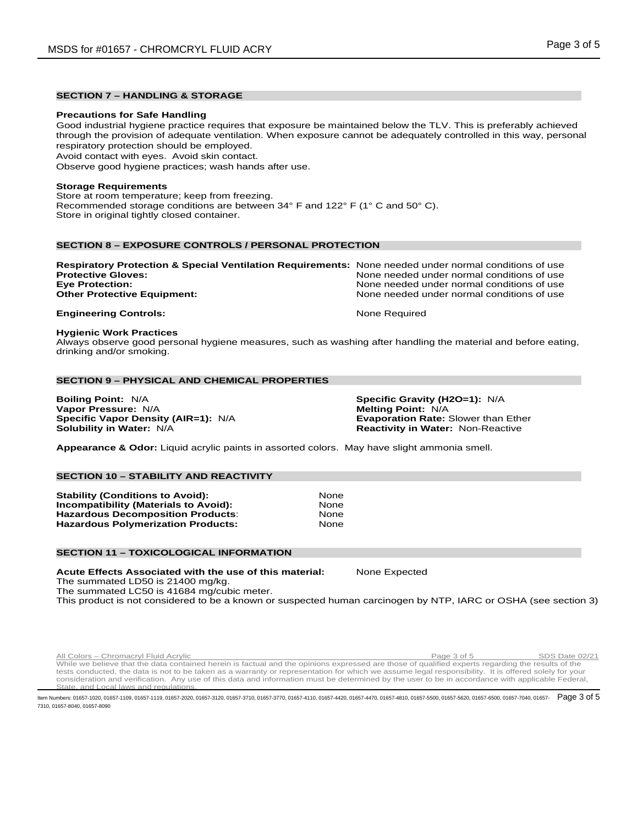# **SECTION 7 – HANDLING & STORAGE**

#### **Precautions for Safe Handling**

Good industrial hygiene practice requires that exposure be maintained below the TLV. This is preferably achieved through the provision of adequate ventilation. When exposure cannot be adequately controlled in this way, personal respiratory protection should be employed.

Avoid contact with eyes. Avoid skin contact.

Observe good hygiene practices; wash hands after use.

# **Storage Requirements**

Store at room temperature; keep from freezing. Recommended storage conditions are between 34° F and 122° F (1° C and 50° C). Store in original tightly closed container.

# **SECTION 8 – EXPOSURE CONTROLS / PERSONAL PROTECTION**

| <b>Respiratory Protection &amp; Special Ventilation Requirements:</b> None needed under normal conditions of use |                                            |
|------------------------------------------------------------------------------------------------------------------|--------------------------------------------|
| <b>Protective Gloves:</b>                                                                                        | None needed under normal conditions of use |
| <b>Eye Protection:</b>                                                                                           | None needed under normal conditions of use |
| <b>Other Protective Equipment:</b>                                                                               | None needed under normal conditions of use |
| <b>Engineering Controls:</b>                                                                                     | None Required                              |

#### **Hygienic Work Practices**

Always observe good personal hygiene measures, such as washing after handling the material and before eating, drinking and/or smoking.

# **SECTION 9 – PHYSICAL AND CHEMICAL PROPERTIES**

**Boiling Point:** N/A **Specific Gravity (H2O=1):** N/A **Vapor Pressure: N/A<br><b>Specific Vapor Density (AIR=1):** N/A **Specific Vapor Density (AIR=1):** N/A **Evaporation Rate:** Slower than Ether

**Reactivity in Water: Non-Reactive** 

**Appearance & Odor:** Liquid acrylic paints in assorted colors. May have slight ammonia smell.

# **SECTION 10 – STABILITY AND REACTIVITY**

**Stability (Conditions to Avoid): 31 Mone**<br>**Incompatibility (Materials to Avoid):** 8 None **Incompatibility (Materials to Avoid):** None **Hazardous Decomposition Products: Hazardous Polymerization Products:** None

### **SECTION 11 – TOXICOLOGICAL INFORMATION**

**Acute Effects Associated with the use of this material:** None Expected The summated LD50 is 21400 mg/kg.

The summated LC50 is 41684 mg/cubic meter.

This product is not considered to be a known or suspected human carcinogen by NTP, IARC or OSHA (see section 3)

All Colors – Chromacryl Fluid Acrylic **Colors – Chromacryl Fluid Acrylic** Page 3 of 5 SDS Date 02/21 While we believe that the data contained herein is factual and the opinions expressed are those of qualified experts regarding the results of the tests conducted, the data is not to be taken as a warranty or representation for which we assume legal responsibility. It is offered solely for your consideration and verification. Any use of this data and information must be determined by the user to be in accordance with applicable Federal, State, and Local laws and regulations.

ltem Numbers: 01657-1020, 01657-1109, 01657-1119, 01657-2020, 01657-3120, 01657-3710, 01657-3770, 01657-4410, 01657-4420, 01657-4470, 01657-4810, 01657-5500, 01657-5620, 01657-5600, 01657-7040, 01657-  ${\sf Page~3 of 5}$ 7310, 01657-8040, 01657-8090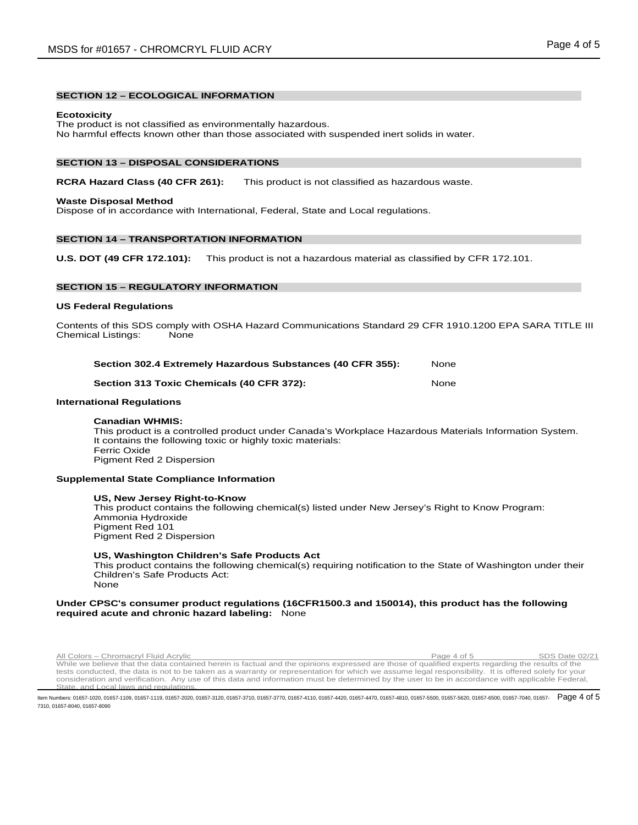# **SECTION 12 – ECOLOGICAL INFORMATION**

#### **Ecotoxicity**

The product is not classified as environmentally hazardous. No harmful effects known other than those associated with suspended inert solids in water.

#### **SECTION 13 – DISPOSAL CONSIDERATIONS**

# **RCRA Hazard Class (40 CFR 261):** This product is not classified as hazardous waste.

#### **Waste Disposal Method**

Dispose of in accordance with International, Federal, State and Local regulations.

# **SECTION 14 – TRANSPORTATION INFORMATION**

**U.S. DOT (49 CFR 172.101):** This product is not a hazardous material as classified by CFR 172.101.

# **SECTION 15 – REGULATORY INFORMATION**

### **US Federal Regulations**

Contents of this SDS comply with OSHA Hazard Communications Standard 29 CFR 1910.1200 EPA SARA TITLE III Chemical Listings: None

| Section 302.4 Extremely Hazardous Substances (40 CFR 355): |         |   | None |  |  |
|------------------------------------------------------------|---------|---|------|--|--|
| - -                                                        | - - - - | . |      |  |  |

### **Section 313 Toxic Chemicals (40 CFR 372):** None

# **International Regulations**

#### **Canadian WHMIS:**

This product is a controlled product under Canada's Workplace Hazardous Materials Information System. It contains the following toxic or highly toxic materials: Ferric Oxide Pigment Red 2 Dispersion

#### **Supplemental State Compliance Information**

#### **US, New Jersey Right-to-Know**

This product contains the following chemical(s) listed under New Jersey's Right to Know Program: Ammonia Hydroxide Pigment Red 101 Pigment Red 2 Dispersion

#### **US, Washington Children's Safe Products Act**

This product contains the following chemical(s) requiring notification to the State of Washington under their Children's Safe Products Act: None

#### **Under CPSC's consumer product regulations (16CFR1500.3 and 150014), this product has the following required acute and chronic hazard labeling:** None

Rumation Chromacryl Fluid Acrylic Page 4 of 5 SDS Date 02/21<br>While we believe that the data contained herein is factual and the opinions expressed are those of qualified experts regarding the results of the tests conducted, the data is not to be taken as a warranty or representation for which we assume legal responsibility. It is offered solely for your consideration and verification. Any use of this data and information must be determined by the user to be in accordance with applicable Federal, State, and Local laws and regulations.

ltem Numbers: 01657-1020, 01657-1109, 01657-1119, 01657-2020, 01657-3120, 01657-3710, 01657-3770, 01657-4410, 01657-4420, 01657-4470, 01657-4810, 01657-5500, 01657-5620, 01657-5600, 01657-7040, 01657-  ${\sf Page~4 of 5}$ 7310, 01657-8040, 01657-8090